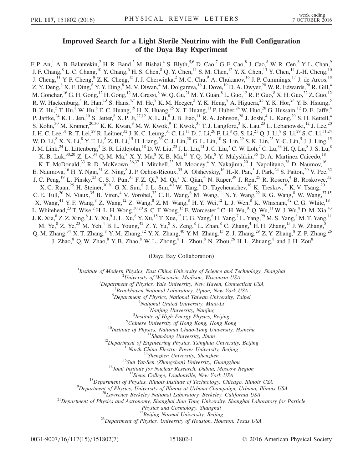## Improved Search for a Light Sterile Neutrino with the Full Configuration of the Daya Bay Experiment

<span id="page-0-0"></span>F. P. An,<sup>1</sup> A. B. Balantekin,<sup>2</sup> H. R. Band,<sup>3</sup> M. Bishai,<sup>4</sup> S. Blyth,<sup>5,6</sup> D. Cao,<sup>7</sup> G. F. Cao,<sup>8</sup> J. Cao,<sup>8</sup> W. R. Cen,<sup>8</sup> Y. L. Chan,<sup>9</sup> J. F. Chang,  $8$  L. C. Chang,  $10$  Y. Chang,  $6$  H. S. Chen,  $8$  Q. Y. Chen,  $11$  S. M. Chen,  $12$  Y. X. Chen,  $13$  Y. Chen,  $14$  J.-H. Cheng,  $10$ J. Cheng,  $^{11}$  Y. P. Cheng,  $^{8}$  Z. K. Cheng,  $^{15}$  J. J. Cherwinka,  $^{2}$  M. C. Chu,  $^{9}$  A. Chukanov,  $^{16}$  J. P. Cummings,  $^{17}$  J. de Arcos,  $^{18}$ Z. Y. Deng, $8$  X. F. Ding, $8$  Y. Y. Ding, $8$  M. V. Diwan, $4$  M. Dolgareva, $^{16}$  J. Dove, $^{19}$  D. A. Dwyer, $^{20}$  W. R. Edwards, $^{20}$  R. Gill, $4$ M. Gonchar,  $^{16}$  G. H. Gong,  $^{12}$  H. Gong,  $^{12}$  M. Grassi,  $^8$  W. Q. Gu,  $^{21}$  M. Y. Guan,  $^8$  L. Guo,  $^{12}$  R. P. Guo,  $^8$  X. H. Guo,  $^{22}$  Z. Guo,  $^{12}$ R. W. Hackenburg, <sup>4</sup> R. Han, <sup>13</sup> S. Hans, <sup>4[,\\*](#page-5-0)</sup> M. He, <sup>8</sup> K. M. Heeger, <sup>3</sup> Y. K. Heng, <sup>8</sup> A. Higuera, <sup>23</sup> Y. K. Hor, <sup>24</sup> Y. B. Hsiung, <sup>5</sup> B. Z. Hu,  $^5$  T. Hu,  $^8$  W. Hu,  $^8$  E. C. Huang,  $^{19}$  H. X. Huang,  $^{25}$  X. T. Huang,  $^{11}$  P. Huber,  $^{24}$  W. Huo,  $^{26}$  G. Hussain,  $^{12}$  D. E. Jaffe,  $^4$ P. Jaffke,<sup>24</sup> K. L. Jen,<sup>10</sup> S. Jetter,<sup>8</sup> X. P. Ji,<sup>27,12</sup> X. L. Ji,<sup>8</sup> J. B. Jiao,<sup>11</sup> R. A. Johnson,<sup>28</sup> J. Joshi,<sup>4</sup> L. Kang,<sup>29</sup> S. H. Kettell,<sup>4</sup> S. Kohn,<sup>30</sup> M. Kramer,<sup>20,30</sup> K. K. Kwan,<sup>9</sup> M. W. Kwok,<sup>9</sup> T. Kwok,<sup>31</sup> T. J. Langford,<sup>3</sup> K. Lau,<sup>23</sup> L. Lebanowski,<sup>12</sup> J. Lee,<sup>20</sup> J. H. C. Lee, $^{31}$  R. T. Lei, $^{29}$  R. Leitner, $^{32}$  J. K. C. Leung, $^{31}$  C. Li, $^{11}$  D. J. Li, $^{26}$  F. Li, $^8$  G. S. Li, $^{21}$  Q. J. Li, $^8$  S. Li, $^{29}$  S. C. Li, $^{31,24}$ W. D. Li, $^8$  X. N. Li, $^8$  Y. F. Li, $^8$  Z. B. Li, $^{15}$  H. Liang, $^{26}$  C. J. Lin, $^{20}$  G. L. Lin, $^{10}$  S. Lin, $^{29}$  S. K. Lin, $^{23}$  Y.-C. Lin, $^5$  J. J. Ling, $^{15}$ J. M. Link, $^{24}$  L. Littenberg, $^4$  B. R. Littlejohn, $^{18}$  D. W. Liu, $^{23}$  J. L. Liu, $^{21}$  J. C. Liu, $^8$  C. W. Loh, $^7$  C. Lu, $^{33}$  H. Q. Lu, $^8$  J. S. Lu, $^8$ K. B. Luk,<sup>30,20</sup> Z. Lv,<sup>34</sup> Q. M. Ma,<sup>8</sup> X. Y. Ma,<sup>8</sup> X. B. Ma,<sup>13</sup> Y. Q. Ma,<sup>8</sup> Y. Malyshkin,<sup>35</sup> D. A. Martinez Caicedo,<sup>18</sup> K. T. McDonald,<sup>33</sup> R. D. McKeown,<sup>36,37</sup> I. Mitchell,<sup>23</sup> M. Mooney,<sup>4</sup> Y. Nakajima,<sup>20</sup> J. Napolitano,<sup>38</sup> D. Naumov,<sup>16</sup> E. Naumova,  $^{16}$  H. Y. Ngai,  $^{31}$  Z. Ning,  $^{8}$  J. P. Ochoa-Ricoux,  $^{35}$  A. Olshevskiy,  $^{16}$  H.-R. Pan,  $^{5}$  J. Park,  $^{24}$  S. Patton,  $^{20}$  V. Pec,  $^{32}$ J. C. Peng,  $^{19}$  L. Pinsky,  $^{23}$  C. S. J. Pun,  $^{31}$  F. Z. Qi,  $^8$  M. Qi,  $^7$  X. Qian,  $^4$  N. Raper,  $^{39}$  J. Ren,  $^{25}$  R. Rosero,  $^4$  B. Roskovec,  $^{32}$ X. C. Ruan,<sup>25</sup> H. Steiner,<sup>30,20</sup> G. X. Sun,<sup>8</sup> J. L. Sun,<sup>40</sup> W. Tang,<sup>4</sup> D. Taychenachev,<sup>16</sup> K. Treskov,<sup>16</sup> K. V. Tsang,<sup>20</sup> C. E. Tull,<sup>20</sup> N. Viaux,<sup>35</sup> B. Viren,<sup>4</sup> V. Vorobel,<sup>32</sup> C. H. Wang,<sup>6</sup> M. Wang,<sup>11</sup> N. Y. Wang,<sup>22</sup> R. G. Wang,<sup>8</sup> W. Wang,<sup>37,15</sup> X. Wang,  $^{41}$  Y. F. Wang,  $^{8}$  Z. Wang,  $^{12}$  Z. Wang,  $^{8}$  Z. M. Wang,  $^{8}$  H. Y. Wei,  $^{12}$  L. J. Wen,  $^{8}$  K. Whisnant,  $^{42}$  C. G. White,  $^{18}$ L. Whitehead,<sup>23</sup> T. Wise,<sup>2</sup> H. L. H. Wong,<sup>30,20</sup> S. C. F. Wong,<sup>15</sup> E. Worcester,<sup>4</sup> C.-H. Wu,<sup>10</sup> Q. Wu,<sup>11</sup> W. J. Wu,<sup>8</sup> D. M. Xia,<sup>43</sup> J. K. Xia, $8$  Z. Z. Xing, $8$  J. Y. Xu, $9$  J. L. Xu, $8$  Y. Xu, $^{15}$  T. Xue, $^{12}$  C. G. Yang, $8$  H. Yang, $7$  L. Yang, $^{29}$  M. S. Yang, $8$  M. T. Yang, $^{11}$ M. Ye, $8$  Z. Ye, $^{23}$  M. Yeh, $4$  B. L. Young, $4^2$  Z. Y. Yu, $8$  S. Zeng, $8$  L. Zhan, $8$  C. Zhang, $4$  H. H. Zhang, $5$  J. W. Zhang, $8$ Q. M. Zhang,<sup>34</sup> X. T. Zhang,<sup>8</sup> Y. M. Zhang,<sup>12</sup> Y. X. Zhang,<sup>40</sup> Y. M. Zhang,<sup>15</sup> Z. J. Zhang,<sup>29</sup> Z. Y. Zhang,<sup>8</sup> Z. P. Zhang,<sup>26</sup> J. Zhao, $^8$  Q. W. Zhao, $^8$  Y. B. Zhao, $^8$  W. L. Zhong, $^8$  L. Zhou, $^8$  N. Zhou, $^{26}$  H. L. Zhuang, $^8$  and J. H. Zou $^8$ 

(Daya Bay Collaboration)

<sup>1</sup>Institute of Modern Physics, East China University of Science and Technology, Shanghai

 $^{2}$ University of Wisconsin, Madison, Wisconsin USA

 $3$ Department of Physics, Yale University, New Haven, Connecticut USA

 ${}^{4}$ Brookhaven National Laboratory, Upton, New York USA

 ${}^{5}$ Department of Physics, National Taiwan University, Taipei

<sup>6</sup>National United University, Miao-Li<sup>7</sup>Nanjing University, Nanjing

<sup>2</sup>Nanjing University, Nanjing<sup>8</sup>

<sup>8</sup>Institute of High Energy Physics, Beijing  $\frac{9}{5}$ Chinese University of Hong Kong, Hong K.

*<sup>2</sup>Chinese University of Hong Kong, Hong Kong*<br><sup>10</sup>*Institute of Physics, National Chiao-Tung University, Hsinchu*<br><sup>11</sup>*Shandong University, Jinan*<br><sup>12</sup>*Department of Engineering Physics, Tsinghua University, Beijing*<br><sup>1</sup>

Physics and Cosmology, Shanghai<br><sup>22</sup>Beijing Normal University, Beijing

 $^{23}$ Department of Physics, University of Houston, Houston, Texas USA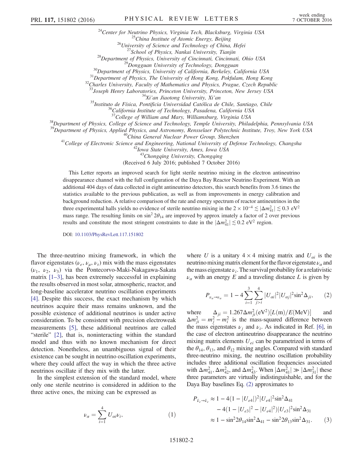<sup>24</sup>Center for Neutrino Physics, Virginia Tech, Blacksburg, Virginia USA<br><sup>25</sup>China Institute of Atomic Energy, Beijing<br><sup>26</sup>University of Science and Technology of China, Hefei<br><sup>27</sup>School of Physics, Nankai University, Tia

<sup>34</sup>Xi'an Jiaotong University, Xi'an<br><sup>35</sup>Instituto de Física, Pontificia Universidad Católica de Chile, Santiago, Chile<br><sup>36</sup>California Institute of Technology, Pasadena, California USA<br><sup>37</sup>College of William and Mary, Wil

 $38$ Department of Physics, College of Science and Technology, Temple University, Philadelphia, Pennsylvania USA  $39$ Department of Physics, Applied Physics, and Astronomy, Rensselaer Polytechnic Institute, Troy, New York U

<sup>40</sup>China General Nuclear Power Group, Shenzhen<br><sup>41</sup>College of Electronic Science and Engineering, National University of Defense Technology, Changsha<br><sup>42</sup>Iowa State University, Ames, Iowa USA

<sup>43</sup>Chongqing University, Chongqing

(Received 6 July 2016; published 7 October 2016)

This Letter reports an improved search for light sterile neutrino mixing in the electron antineutrino disappearance channel with the full configuration of the Daya Bay Reactor Neutrino Experiment. With an additional 404 days of data collected in eight antineutrino detectors, this search benefits from 3.6 times the statistics available to the previous publication, as well as from improvements in energy calibration and background reduction. A relative comparison of the rate and energy spectrum of reactor antineutrinos in the three experimental halls yields no evidence of sterile neutrino mixing in the  $2 \times 10^{-4} \lesssim |\Delta m_{41}^2| \lesssim 0.3 \text{ eV}^2$ mass range. The resulting limits on  $\sin^2 2\theta_{14}$  are improved by approx imately a factor of 2 over previous results and constitute the most stringent constraints to date in the  $|\Delta m_{41}^2| \lesssim 0.2 \text{ eV}^2$  region.

DOI: [10.1103/PhysRevLett.117.151802](http://dx.doi.org/10.1103/PhysRevLett.117.151802)

The three-neutrino mixing framework, in which the flavor eigenstates ( $\nu_e$ ,  $\nu_u$ ,  $\nu_{\tau}$ ) mix with the mass eigenstates  $(\nu_1, \nu_2, \nu_3)$  via the Pontecorvo-Maki-Nakagawa-Sakata matrix [1–[3\],](#page-5-1) has been extremely successful in explaining the results observed in most solar, atmospheric, reactor, and long-baseline accelerator neutrino oscillation experiments [\[4\]](#page-5-2). Despite this success, the exact mechanism by which neutrinos acquire their mass remains unknown, and the possible existence of additional neutrinos is under active consideration. To be consistent with precision electroweak measurements [\[5\],](#page-5-3) these additional neutrinos are called "sterile" [\[2\],](#page-5-4) that is, noninteracting within the standard model and thus with no known mechanism for direct detection. Nonetheless, an unambiguous signal of their existence can be sought in neutrino oscillation experiments, where they could affect the way in which the three active neutrinos oscillate if they mix with the latter.

In the simplest extension of the standard model, where only one sterile neutrino is considered in addition to the three active ones, the mixing can be expressed as

$$
\nu_{\alpha} = \sum_{i=1}^{4} U_{\alpha i} \nu_i, \qquad (1)
$$

<span id="page-1-0"></span>where U is a unitary  $4 \times 4$  mixing matrix and  $U_{ai}$  is the neutrino mixing matrix element for the flavor eigenstate  $\nu_a$  and the mass eigenstate  $\nu_i$ . The survival probability for a relativistic  $\nu_a$  with an energy E and a traveling distance L is given by

$$
P_{\nu_a \to \nu_a} = 1 - 4 \sum_{i=1}^{3} \sum_{j>i}^{4} |U_{ai}|^2 |U_{aj}|^2 \sin^2 \Delta_{ji}, \qquad (2)
$$

where  $\Delta_{ji} = 1.267 \Delta m_{ji}^2 (eV^2) [L(m)/E(MeV)]$  and  $\Delta m_{ji}^2 = m_j^2 - m_i^2$  is the mass-squared difference between the mass eigenstates  $\nu_i$  and  $\nu_i$ . As indicated in Ref. [\[6\],](#page-5-5) in the case of electron antineutrino disappearance the neutrino mixing matrix elements  $U_{ei}$  can be parametrized in terms of the  $\theta_{14}$ ,  $\theta_{13}$ , and  $\theta_{12}$  mixing angles. Compared with standard three-neutrino mixing, the neutrino oscillation probability includes three additional oscillation frequencies associated with  $\Delta m_{41}^2$ ,  $\Delta m_{42}^2$ , and  $\Delta m_{43}^2$ . When  $|\Delta m_{41}^2| \gg |\Delta m_{31}^2|$  these three parameters are virtually indistinguishable, and for the Daya Bay baselines Eq. [\(2\)](#page-1-0) approximates to

$$
P_{\bar{\nu}_e \to \bar{\nu}_e} \approx 1 - 4(1 - |U_{e4}|)^2 |U_{e4}|^2 \sin^2 \Delta_{41}
$$
  
- 4(1 - |U\_{e3}|^2 - |U\_{e4}|^2) |U\_{e3}|^2 \sin^2 \Delta\_{31}  

$$
\approx 1 - \sin^2 2\theta_{14} \sin^2 \Delta_{41} - \sin^2 2\theta_{13} \sin^2 \Delta_{31}.
$$
 (3)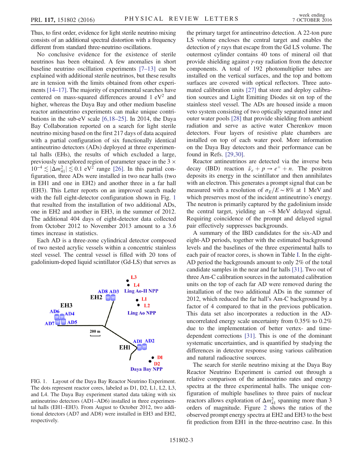Thus, to first order, evidence for light sterile neutrino mixing consists of an additional spectral distortion with a frequency different from standard three-neutrino oscillations.

No conclusive evidence for the existence of sterile neutrinos has been obtained. A few anomalies in short baseline neutrino oscillation experiments [7–[13\]](#page-5-6) can be explained with additional sterile neutrinos, but these results are in tension with the limits obtained from other experiments [\[14](#page-5-7)–17]. The majority of experimental searches have centered on mass-squared differences around  $1 \text{ eV}^2$  and higher, whereas the Daya Bay and other medium baseline reactor antineutrino experiments can make unique contributions in the sub-eV scale [\[6,18](#page-5-5)–25]. In 2014, the Daya Bay Collaboration reported on a search for light sterile neutrino mixing based on the first 217 days of data acquired with a partial configuration of six functionally identical antineutrino detectors (ADs) deployed at three experimental halls (EHs), the results of which excluded a large, previously unexplored region of parameter space in the 3  $\times$  $10^{-4} \lesssim |\Delta m_{41}^2| \lesssim 0.1$  eV<sup>2</sup> range [\[26\]](#page-6-0). In this partial configuration, three ADs were installed in two near halls (two in EH1 and one in EH2) and another three in a far hall (EH3). This Letter reports on an improved search made with the full eight-detector configuration shown in Fig. [1](#page-2-0) that resulted from the installation of two additional ADs, one in EH2 and another in EH3, in the summer of 2012. The additional 404 days of eight-detector data collected from October 2012 to November 2013 amount to a 3.6 times increase in statistics.

Each AD is a three-zone cylindrical detector composed of two nested acrylic vessels within a concentric stainless steel vessel. The central vessel is filled with 20 tons of gadolinium-doped liquid scintillator (Gd-LS) that serves as

<span id="page-2-0"></span>

FIG. 1. Layout of the Daya Bay Reactor Neutrino Experiment. The dots represent reactor cores, labeled as D1, D2, L1, L2, L3, and L4. The Daya Bay experiment started data taking with six antineutrino detectors (AD1–AD6) installed in three experimental halls (EH1–EH3). From August to October 2012, two additional detectors (AD7 and AD8) were installed in EH3 and EH2, respectively.

the primary target for antineutrino detection. A 22-ton pure LS volume encloses the central target and enables the detection of  $\gamma$  rays that escape from the Gd LS volume. The outermost cylinder contains 40 tons of mineral oil that provide shielding against γ-ray radiation from the detector components. A total of 192 photomultiplier tubes are installed on the vertical surfaces, and the top and bottom surfaces are covered with optical reflectors. Three automated calibration units [\[27\]](#page-6-1) that store and deploy calibration sources and Light Emitting Diodes sit on top of the stainless steel vessel. The ADs are housed inside a muon veto system consisting of two optically separated inner and outer water pools [\[28\]](#page-6-2) that provide shielding from ambient radiation and serve as active water Cherenkov muon detectors. Four layers of resistive plate chambers are installed on top of each water pool. More information on the Daya Bay detectors and their performance can be found in Refs. [\[29,30\]](#page-6-3).

Reactor antineutrinos are detected via the inverse beta decay (IBD) reaction  $\bar{\nu}_e + p \rightarrow e^+ + n$ . The positron deposits its energy in the scintillator and then annihilates with an electron. This generates a prompt signal that can be measured with a resolution of  $\sigma_F/E \sim 8\%$  at 1 MeV and which preserves most of the incident antineutrino's energy. The neutron is primarily captured by the gadolinium inside the central target, yielding an ∼8 MeV delayed signal. Requiring coincidence of the prompt and delayed signal pair effectively suppresses backgrounds.

A summary of the IBD candidates for the six-AD and eight-AD periods, together with the estimated background levels and the baselines of the three experimental halls to each pair of reactor cores, is shown in Table [I](#page-3-0). In the eight-AD period the backgrounds amount to only 2% of the total candidate samples in the near and far halls [\[31\].](#page-6-4) Two out of three Am-C calibration sources in the automated calibration units on the top of each far AD were removed during the installation of the two additional ADs in the summer of 2012, which reduced the far hall's Am-C background by a factor of 4 compared to that in the previous publication. This data set also incorporates a reduction in the ADuncorrelated energy scale uncertainty from 0.35% to 0.2% due to the implementation of better vertex- and timedependent corrections [\[31\].](#page-6-4) This is one of the dominant systematic uncertainties, and is quantified by studying the differences in detector response using various calibration and natural radioactive sources.

The search for sterile neutrino mixing at the Daya Bay Reactor Neutrino Experiment is carried out through a relative comparison of the antineutrino rates and energy spectra at the three experimental halls. The unique configuration of multiple baselines to three pairs of nuclear reactors allows exploration of  $\Delta m_{41}^2$  spanning more than 3 orders of magnitude. Figure [2](#page-3-1) shows the ratios of the observed prompt energy spectra at EH2 and EH3 to the best fit prediction from EH1 in the three-neutrino case. In this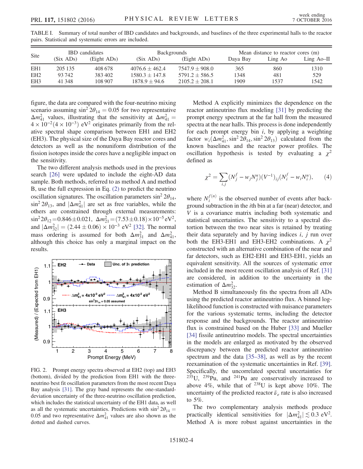| Site            | <b>IBD</b> candidates |             | <b>Backgrounds</b> |                    | Mean distance to reactor cores (m) |         |              |
|-----------------|-----------------------|-------------|--------------------|--------------------|------------------------------------|---------|--------------|
|                 | (Six ADs)             | (Eight ADs) | (Six ADs)          | (Eight ADs)        | Dava Bav                           | Ling Ao | Ling $Ao-II$ |
| EH <sub>1</sub> | 205 135               | 408 678     | $4076.6 + 462.4$   | $7547.9 + 908.0$   | 365                                | 860     | 1310         |
| EH <sub>2</sub> | 93742                 | 383402      | $1580.3 + 147.8$   | $5791.2 + 586.5$   | 1348                               | 481     | 529          |
| EH <sub>3</sub> | 41 348                | 108 907     | $1878.9 + 94.6$    | $2105.2 \pm 208.1$ | 1909                               | 1537    | 1542         |

<span id="page-3-0"></span>TABLE I. Summary of total number of IBD candidates and backgrounds, and baselines of the three experimental halls to the reactor pairs. Statistical and systematic errors are included.

figure, the data are compared with the four-neutrino mixing scenario assuming  $\sin^2 2\theta_{14} = 0.05$  for two representative  $\Delta m_{41}^2$  values, illustrating that the sensitivity at  $\Delta m_{41}^2$  =  $4 \times 10^{-2} (4 \times 10^{-3})$  eV<sup>2</sup> originates primarily from the relative spectral shape comparison between EH1 and EH2 (EH3). The physical size of the Daya Bay reactor cores and detectors as well as the nonuniform distribution of the fission isotopes inside the cores have a negligible impact on the sensitivity.

The two different analysis methods used in the previous search [\[26\]](#page-6-0) were updated to include the eight-AD data sample. Both methods, referred to as method A and method B, use the full expression in Eq. [\(2\)](#page-1-0) to predict the neutrino oscillation signatures. The oscillation parameters  $\sin^2 2\theta_{14}$ ,  $\sin^2 2\theta_{13}$ , and  $|\Delta m_{41}^2|$  are set as free variables, while the others are constrained through external measurements:  $\sin^2 2\theta_{12} = 0.846 \pm 0.021$ ,  $\Delta m_{21}^2 = (7.53 \pm 0.18) \times 10^{-5}$  eV<sup>2</sup>, and  $|\Delta m_{32}^2| = (2.44 \pm 0.06) \times 10^{-3} \text{ eV}^2$  [\[32\]](#page-6-5). The normal mass ordering is assumed for both  $\Delta m_{31}^2$  and  $\Delta m_{41}^2$ , although this choice has only a marginal impact on the results.

<span id="page-3-1"></span>

FIG. 2. Prompt energy spectra observed at EH2 (top) and EH3 (bottom), divided by the prediction from EH1 with the threeneutrino best fit oscillation parameters from the most recent Daya Bay analysis [\[31\].](#page-6-4) The gray band represents the one-standarddeviation uncertainty of the three-neutrino oscillation prediction, which includes the statistical uncertainty of the EH1 data, as well as all the systematic uncertainties. Predictions with  $\sin^2 2\theta_{14} =$ 0.05 and two representative  $\Delta m_{41}^2$  values are also shown as the dotted and dashed curves.

Method A explicitly minimizes the dependence on the reactor antineutrino flux modeling [\[31\]](#page-6-4) by predicting the prompt energy spectrum at the far hall from the measured spectra at the near halls. This process is done independently for each prompt energy bin  $i$ , by applying a weighting factor  $w_i(\Delta m_{41}^2, \sin^2 2\theta_{14}, \sin^2 2\theta_{13})$  calculated from the known baselines and the reactor power profiles. The oscillation hypothesis is tested by evaluating a  $\chi^2$ defined as

$$
\chi^2 = \sum_{i,j} (N_j^f - w_j N_j^n) (V^{-1})_{ij} (N_i^f - w_i N_i^n), \qquad (4)
$$

where  $N_i^{f(n)}$  is the observed number of events after background subtraction in the ith bin at a far (near) detector, and V is a covariance matrix including both systematic and statistical uncertainties. The sensitivity to a spectral distortion between the two near sites is retained by treating their data separately and by having indices  $i$ ,  $j$  run over both the EH3-EH1 and EH3-EH2 combinations. A  $\chi^2$ constructed with an alternative combination of the near and far detectors, such as EH2-EH1 and EH3-EH1, yields an equivalent sensitivity. All the sources of systematic error included in the most recent oscillation analysis of Ref. [\[31\]](#page-6-4) are considered, in addition to the uncertainty in the estimation of  $\Delta m_{32}^2$ .

Method B simultaneously fits the spectra from all ADs using the predicted reactor antineutrino flux. A binned loglikelihood function is constructed with nuisance parameters for the various systematic terms, including the detector response and the backgrounds. The reactor antineutrino flux is constrained based on the Huber [\[33\]](#page-6-6) and Mueller [\[34\]](#page-6-7) fissile antineutrino models. The spectral uncertainties in the models are enlarged as motivated by the observed discrepancy between the predicted reactor antineutrino spectrum and the data [\[35](#page-6-8)–38], as well as by the recent reexamination of the systematic uncertainties in Ref. [\[39\]](#page-6-9). Specifically, the uncorrelated spectral uncertainties for  $235$ U,  $239$ Pu, and  $241$ Pu are conservatively increased to above  $4\%$ , while that of  $^{238}$ U is kept above 10%. The uncertainty of the predicted reactor  $\bar{\nu}_e$  rate is also increased to 5%.

The two complementary analysis methods produce practically identical sensitivities for  $|\Delta m_{41}^2| \lesssim 0.3 \text{ eV}^2$ . Method A is more robust against uncertainties in the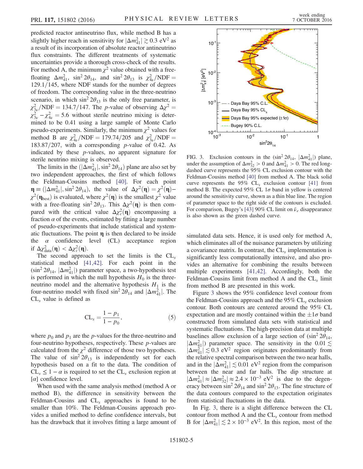predicted reactor antineutrino flux, while method B has a slightly higher reach in sensitivity for  $|\Delta m_{41}^2| \gtrsim 0.3 \text{ eV}^2$  as a result of its incorporation of absolute reactor antineutrino flux constraints. The different treatments of systematic uncertainties provide a thorough cross-check of the results. For method A, the minimum  $\chi^2$  value obtained with a freefloating  $\Delta m_{41}^2$ , sin<sup>2</sup> 2 $\theta_{14}$ , and sin<sup>2</sup> 2 $\theta_{13}$  is  $\chi_{4\nu}^2/\text{NDF} =$  $129.1/145$ , where NDF stands for the number of degrees of freedom. The corresponding value in the three-neutrino scenario, in which  $\sin^2 2\theta_{13}$  is the only free parameter, is  $\chi^2_{3\nu}$ /NDF = 134.7/147. The *p*-value of observing  $\Delta \chi^2$  =  $\chi^2_{3\nu} - \chi^2_{4\nu} = 5.6$  without sterile neutrino mixing is determined to be 0.41 using a large sample of Monte Carlo pseudo-experiments. Similarly, the minimum  $\chi^2$  values for method B are  $\chi_{4\nu}^2/\text{NDF} = 179.74/205$  and  $\chi_{3\nu}^2/\text{NDF} =$  $183.87/207$ , with a corresponding p-value of 0.42. As indicated by these p-values, no apparent signature for sterile neutrino mixing is observed.

The limits in the  $(|\Delta m_{41}^2|, \sin^2 2\theta_{14})$  plane are also set by two independent approaches, the first of which follows the Feldman-Cousins method [\[40\]](#page-6-10). For each point  $\mathbf{\eta} \equiv (|\Delta m_{41}^2|, \sin^2 2\theta_{14}),$  the value of  $\Delta \chi^2(\mathbf{\eta}) = \chi^2(\mathbf{\eta}) \chi^2(\eta_{\text{best}})$  is evaluated, where  $\chi^2(\eta)$  is the smallest  $\chi^2$  value with a free-floating  $\sin^2 2\theta_{13}$ . This  $\Delta \chi^2(\mathbf{\eta})$  is then compared with the critical value  $\Delta \chi_c^2(\mathbf{\eta})$  encompassing a fraction  $\alpha$  of the events, estimated by fitting a large number of pseudo-experiments that include statistical and systematic fluctuations. The point  $\eta$  is then declared to be inside the  $\alpha$  confidence level (CL) acceptance region if  $\Delta \chi^2_{data}(\eta) < \Delta \chi^2_{c}(\eta)$ .

The second approach to set the limits is the  $CL<sub>s</sub>$ statistical method [\[41,42\]](#page-6-11). For each point in the  $(\sin^2 2\theta_{14}, \, |\Delta m_{41}^2|)$  parameter space, a two-hypothesis test is performed in which the null hypothesis  $H_0$  is the threeneutrino model and the alternative hypothesis  $H_1$  is the four-neutrino model with fixed  $\sin^2 2\theta_{14}$  and  $|\Delta m_{41}^2|$ . The  $CL<sub>s</sub>$  value is defined as

$$
CL_s = \frac{1 - p_1}{1 - p_0},\tag{5}
$$

where  $p_0$  and  $p_1$  are the p-values for the three-neutrino and four-neutrino hypotheses, respectively. These  $p$ -values are calculated from the  $\chi^2$  difference of those two hypotheses. The value of  $\sin^2 2\theta_{13}$  is independently set for each hypothesis based on a fit to the data. The condition of  $CL_s \leq 1 - \alpha$  is required to set the  $CL_s$  exclusion region at  $\lceil \alpha \rceil$  confidence level.

When used with the same analysis method (method A or method B), the difference in sensitivity between the Feldman-Cousins and  $CL<sub>s</sub>$  approaches is found to be smaller than 10%. The Feldman-Cousins approach provides a unified method to define confidence intervals, but has the drawback that it involves fitting a large amount of

<span id="page-4-0"></span>

FIG. 3. Exclusion contours in the  $(\sin^2 2\theta_{14}, |\Delta m_{41}^2|)$  plane, under the assumption of  $\Delta m_{32}^2 > 0$  and  $\Delta m_{41}^2 > 0$ . The red longdashed curve represents the 95% CL exclusion contour with the Feldman-Cousins method [\[40\]](#page-6-10) from method A. The black solid curve represents the 95%  $CL<sub>s</sub>$  exclusion contour [\[41\]](#page-6-11) from method B. The expected 95% CL  $1\sigma$  band in yellow is centered around the sensitivity curve, shown as a thin blue line. The region of parameter space to the right side of the contours is excluded. For comparison, Bugey's [\[43\]](#page-6-12) 90% CL limit on  $\bar{\nu}_e$  disappearance is also shown as the green dashed curve.

simulated data sets. Hence, it is used only for method A, which eliminates all of the nuisance parameters by utilizing a covariance matrix. In contrast, the  $CL<sub>s</sub>$  implementation is significantly less computationally intensive, and also provides an alternative for combining the results between multiple experiments [\[41,42\]](#page-6-11). Accordingly, both the Feldman-Cousins limit from method A and the  $CL<sub>s</sub>$  limit from method B are presented in this work.

Figure [3](#page-4-0) shows the 95% confidence level contour from the Feldman-Cousins approach and the  $95\%$  CL, exclusion contour. Both contours are centered around the 95% CL expectation and are mostly contained within the  $\pm 1\sigma$  band constructed from simulated data sets with statistical and systematic fluctuations. The high-precision data at multiple baselines allow exclusion of a large section of  $(\sin^2 2\theta_{14},$  $|\Delta m_{41}^2|$ ) parameter space. The sensitivity in the 0.01  $\lesssim$  $|\Delta m_{41}^2| \lesssim 0.3 \text{ eV}^2$  region originates predominantly from the relative spectral comparison between the two near halls, and in the  $|\Delta m_{41}^2| \lesssim 0.01$  eV<sup>2</sup> region from the comparison between the near and far halls. The dip structure at  $|\Delta m_{41}^2| \approx |\Delta m_{32}^2| \approx 2.4 \times 10^{-3} \text{ eV}^2$  is due to the degeneracy between  $\sin^2 2\theta_{14}$  and  $\sin^2 2\theta_{13}$ . The fine structure of the data contours compared to the expectation originates from statistical fluctuations in the data.

In Fig. [3,](#page-4-0) there is a slight difference between the CL contour from method A and the  $CL<sub>s</sub>$  contour from method B for  $|\Delta m_{41}^2| \lesssim 2 \times 10^{-3}$  eV<sup>2</sup>. In this region, most of the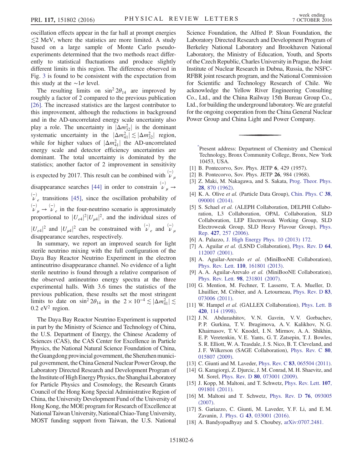oscillation effects appear in the far hall at prompt energies  $\leq$ 2 MeV, where the statistics are more limited. A study based on a large sample of Monte Carlo pseudoexperiments determined that the two methods react differently to statistical fluctuations and produce slightly different limits in this region. The difference observed in Fig. [3](#page-4-0) is found to be consistent with the expectation from this study at the  $\sim 1\sigma$  level.

The resulting limits on  $\sin^2 2\theta_{14}$  are improved by roughly a factor of 2 compared to the previous publication [\[26\]](#page-6-0). The increased statistics are the largest contributor to this improvement, although the reductions in background and in the AD-uncorrelated energy scale uncertainty also play a role. The uncertainty in  $|\Delta m_{32}^2|$  is the dominant systematic uncertainty in the  $|\Delta m_{41}^2| \lesssim |\Delta m_{32}^2|$  region, while for higher values of  $|\Delta m_{41}^2|$  the AD-uncorrelated energy scale and detector efficiency uncertainties are dominant. The total uncertainty is dominated by the statistics; another factor of 2 improvement in sensitivity

is expected by 2017. This result can be combined with  $\bigcup_{\mu}^{(-)}$ disappearance searches [\[44\]](#page-6-13) in order to constrain  $\stackrel{(-)}{\nu}_{\mu} \rightarrow$  $\begin{pmatrix} -1 \\ v \\ e \end{pmatrix}$  transitions [\[45\]](#page-6-14), since the oscillation probability of  $\begin{pmatrix} - \ \nu_{\mu} & \nabla_{e} \end{pmatrix}$  in the four-neutrino scenario is approximately proportional to  $|U_{e4}|^2 |U_{\mu 4}|^2$ , and the individual sizes of  $|U_{e4}|^2$  and  $|U_{\mu 4}|^2$  can be constrained with  $\nu_e^{(-)}$  and  $\nu_{\mu}^{(-)}$ disappearance searches, respectively.

In summary, we report an improved search for light sterile neutrino mixing with the full configuration of the Daya Bay Reactor Neutrino Experiment in the electron antineutrino disappearance channel. No evidence of a light sterile neutrino is found through a relative comparison of the observed antineutrino energy spectra at the three experimental halls. With 3.6 times the statistics of the previous publication, these results set the most stringent limits to date on  $\sin^2 2\theta_{14}$  in the  $2 \times 10^{-4} \lesssim |\Delta m_{41}^2| \lesssim$  $0.2$  eV<sup>2</sup> region.

The Daya Bay Reactor Neutrino Experiment is supported in part by the Ministry of Science and Technology of China, the U.S. Department of Energy, the Chinese Academy of Sciences (CAS), the CAS Center for Excellence in Particle Physics, the National Natural Science Foundation of China, the Guangdong provincial government, the Shenzhen municipal government, the China General Nuclear Power Group, the Laboratory Directed Research and Development Program of the Institute of High Energy Physics, the Shanghai Laboratory for Particle Physics and Cosmology, the Research Grants Council of the Hong Kong Special Administrative Region of China, the University Development Fund of the University of Hong Kong, the MOE program for Research of Excellence at National Taiwan University, National Chiao-Tung University, MOST funding support from Taiwan, the U.S. National Science Foundation, the Alfred P. Sloan Foundation, the Laboratory Directed Research and Development Program of Berkeley National Laboratory and Brookhaven National Laboratory, the Ministry of Education, Youth, and Sports of the Czech Republic, Charles University in Prague, the Joint Institute of Nuclear Research in Dubna, Russia, the NSFC-RFBR joint research program, and the National Commission for Scientific and Technology Research of Chile. We acknowledge the Yellow River Engineering Consulting Co., Ltd., and the China Railway 15th Bureau Group Co., Ltd., for building the underground laboratory. We are grateful for the ongoing cooperation from the China General Nuclear Power Group and China Light and Power Company.

<span id="page-5-0"></span>[\\*](#page-0-0) Present address: Department of Chemistry and Chemical Technology, Bronx Community College, Bronx, New York 10453, USA.

- <span id="page-5-4"></span><span id="page-5-1"></span>[1] B. Pontecorvo, Sov. Phys. JETP 6, 429 (1957).
- [2] B. Pontecorvo, Sov. Phys. JETP 26, 984 (1968).
- <span id="page-5-2"></span>Z. Maki, M. Nakagawa, and S. Sakata, [Prog. Theor. Phys.](http://dx.doi.org/10.1143/PTP.28.870) 28[, 870 \(1962\).](http://dx.doi.org/10.1143/PTP.28.870)
- <span id="page-5-3"></span>[4] K. A. Olive et al. (Particle Data Group), [Chin. Phys. C](http://dx.doi.org/10.1088/1674-1137/38/9/090001) 38, [090001 \(2014\).](http://dx.doi.org/10.1088/1674-1137/38/9/090001)
- [5] S. Schael et al. (ALEPH Collaboration, DELPHI Collaboration, L3 Collaboration, OPAL Collaboration, SLD Collaboration, LEP Electroweak Working Group, SLD Electroweak Group, SLD Heavy Flavour Group), [Phys.](http://dx.doi.org/10.1016/j.physrep.2005.12.006) Rep. 427[, 257 \(2006\)](http://dx.doi.org/10.1016/j.physrep.2005.12.006).
- <span id="page-5-6"></span><span id="page-5-5"></span>[6] A. Palazzo, [J. High Energy Phys. 10 \(2013\) 172.](http://dx.doi.org/10.1007/JHEP10(2013)172)
- [7] A. Aguilar et al. (LSND Collaboration), [Phys. Rev. D](http://dx.doi.org/10.1103/PhysRevD.64.112007) 64, [112007 \(2001\).](http://dx.doi.org/10.1103/PhysRevD.64.112007)
- [8] A. Aguilar-Arevalo et al. (MiniBooNE Collaboration), Phys. Rev. Lett. 110[, 161801 \(2013\).](http://dx.doi.org/10.1103/PhysRevLett.110.161801)
- [9] A. A. Aguilar-Arevalo et al. (MiniBooNE Collaboration), Phys. Rev. Lett. 98[, 231801 \(2007\)](http://dx.doi.org/10.1103/PhysRevLett.98.231801).
- [10] G. Mention, M. Fechner, T. Lasserre, T. A. Mueller, D. Lhuillier, M. Cribier, and A. Letourneau, [Phys. Rev. D](http://dx.doi.org/10.1103/PhysRevD.83.073006) 83, [073006 \(2011\).](http://dx.doi.org/10.1103/PhysRevD.83.073006)
- [11] W. Hampel et al. (GALLEX Collaboration), [Phys. Lett. B](http://dx.doi.org/10.1016/S0370-2693(97)01562-1) 420[, 114 \(1998\)](http://dx.doi.org/10.1016/S0370-2693(97)01562-1).
- [12] J.N. Abdurashitov, V.N. Gavrin, V.V. Gorbachev, P. P. Gurkina, T. V. Ibragimova, A. V. Kalikhov, N. G. Khairnasov, T. V. Knodel, I. N. Mirmov, A. A. Shikhin, E. P. Veretenkin, V. E. Yants, G. T. Zatsepin, T. J. Bowles, S. R. Elliott, W. A. Teasdale, J. S. Nico, B. T. Cleveland, and J. F. Wilkerson (SAGE Collaboration), [Phys. Rev. C](http://dx.doi.org/10.1103/PhysRevC.80.015807) 80, [015807 \(2009\).](http://dx.doi.org/10.1103/PhysRevC.80.015807)
- <span id="page-5-7"></span>[13] C. Giunti and M. Laveder, Phys. Rev. C **83**[, 065504 \(2011\).](http://dx.doi.org/10.1103/PhysRevC.83.065504)
- [14] G. Karagiorgi, Z. Djurcic, J. M. Conrad, M. H. Shaevitz, and M. Sorel, Phys. Rev. D 80[, 073001 \(2009\)](http://dx.doi.org/10.1103/PhysRevD.80.073001).
- [15] J. Kopp, M. Maltoni, and T. Schwetz, [Phys. Rev. Lett.](http://dx.doi.org/10.1103/PhysRevLett.107.091801) **107**, [091801 \(2011\).](http://dx.doi.org/10.1103/PhysRevLett.107.091801)
- [16] M. Maltoni and T. Schwetz, [Phys. Rev. D](http://dx.doi.org/10.1103/PhysRevD.76.093005) 76, 093005 [\(2007\).](http://dx.doi.org/10.1103/PhysRevD.76.093005)
- [17] S. Gariazzo, C. Giunti, M. Laveder, Y. F. Li, and E. M. Zavanin, J. Phys. G 43[, 033001 \(2016\).](http://dx.doi.org/10.1088/0954-3899/43/3/033001)
- [18] A. Bandyopadhyay and S. Choubey, [arXiv:0707.2481.](http://arXiv.org/abs/0707.2481)